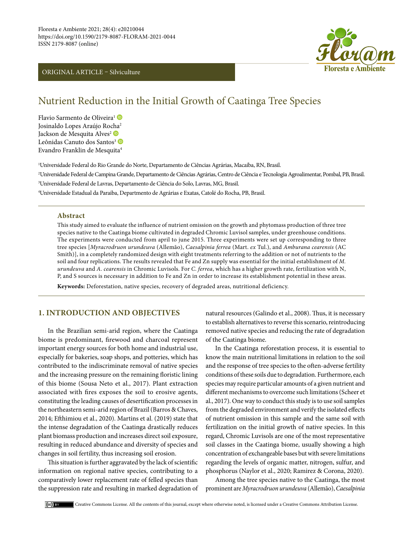# ORIGINAL ARTICLE – Silviculture



# Nutrient Reduction in the Initial Growth of Caatinga Tree Species

Flavio Sarmento de Oliveira<sup>1</sup> Josinaldo Lopes Araújo Ro[cha](https://orcid.org/0000-0002-0345-410X)2 Jackson de Mesquita Alves<sup>2</sup> Leônidas Canuto dos Santos<sup>3</sup> Evandro Franklin de Mesquita<sup>4</sup>

1 Universidade Federal do Rio Grande do Norte, Departamento de Ciências Agrárias, Macaíba, RN, Brasil.

2 Universidade Federal de Campina Grande, Departamento de Ciências Agrárias, Centro de Ciência e Tecnologia Agroalimentar, Pombal, PB, Brasil.

3 Universidade Federal de Lavras, Departamento de Ciência do Solo, Lavras, MG, Brasil.

4 Universidade Estadual da Paraiba, Departmento de Agrárias e Exatas, Catolé do Rocha, PB, Brasil.

#### **Abstract**

This study aimed to evaluate the influence of nutrient omission on the growth and phytomass production of three tree species native to the Caatinga biome cultivated in degraded Chromic Luvisol samples, under greenhouse conditions. The experiments were conducted from april to june 2015. Three experiments were set up corresponding to three tree species [*Myracrodruon urundeuva* (Allemão), *Caesalpinia ferrea* (Mart. *ex* Tul.), and *Amburana cearensis* (AC Smith)], in a completely randomized design with eight treatments referring to the addition or not of nutrients to the soil and four replications. The results revealed that Fe and Zn supply was essential for the initial establishment of *M. urundeuva* and *A. cearensis* in Chromic Luvisols. For *C. ferrea*, which has a higher growth rate, fertilization with N, P, and S sources is necessary in addition to Fe and Zn in order to increase its establishment potential in these areas.

**Keywords:** Deforestation, native species, recovery of degraded areas, nutritional deficiency.

# **1. INTRODUCTION AND OBJECTIVES**

In the Brazilian semi-arid region, where the Caatinga biome is predominant, firewood and charcoal represent important energy sources for both home and industrial use, especially for bakeries, soap shops, and potteries, which has contributed to the indiscriminate removal of native species and the increasing pressure on the remaining floristic lining of this biome (Sousa Neto et al., 2017). Plant extraction associated with fires exposes the soil to erosive agents, constituting the leading causes of desertification processes in the northeastern semi-arid region of Brazil (Barros & Chaves, 2014; Efthimiou et al., 2020). Martins et al. (2019) state that the intense degradation of the Caatinga drastically reduces plant biomass production and increases direct soil exposure, resulting in reduced abundance and diversity of species and changes in soil fertility, thus increasing soil erosion.

This situation is further aggravated by the lack of scientific information on regional native species, contributing to a comparatively lower replacement rate of felled species than the suppression rate and resulting in marked degradation of natural resources (Galindo et al., 2008). Thus, it is necessary to establish alternatives to reverse this scenario, reintroducing removed native species and reducing the rate of degradation of the Caatinga biome.

In the Caatinga reforestation process, it is essential to know the main nutritional limitations in relation to the soil and the response of tree species to the often-adverse fertility conditions of these soils due to degradation. Furthermore, each species may require particular amounts of a given nutrient and different mechanisms to overcome such limitations (Scheer et al., 2017). One way to conduct this study is to use soil samples from the degraded environment and verify the isolated effects of nutrient omission in this sample and the same soil with fertilization on the initial growth of native species. In this regard, Chromic Luvisols are one of the most representative soil classes in the Caatinga biome, usually showing a high concentration of exchangeable bases but with severe limitations regarding the levels of organic matter, nitrogen, sulfur, and phosphorus (Naylor et al., 2020; Ramirez & Corona, 2020).

Among the tree species native to the Caatinga, the most prominent are *Myracrodruon urundeuva* (Allemão), *Caesalpinia*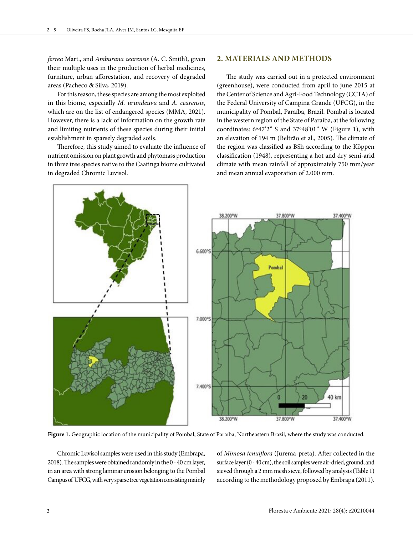*ferrea* Mart., and *Amburana cearensis* (A. C. Smith), given their multiple uses in the production of herbal medicines, furniture, urban afforestation, and recovery of degraded areas (Pacheco & Silva, 2019).

For this reason, these species are among the most exploited in this biome, especially *M. urundeuva* and *A. cearensis*, which are on the list of endangered species (MMA, 2021). However, there is a lack of information on the growth rate and limiting nutrients of these species during their initial establishment in sparsely degraded soils.

Therefore, this study aimed to evaluate the influence of nutrient omission on plant growth and phytomass production in three tree species native to the Caatinga biome cultivated in degraded Chromic Luvisol.

### **2. MATERIALS AND METHODS**

The study was carried out in a protected environment (greenhouse), were conducted from april to june 2015 at the Center of Science and Agri-Food Technology (CCTA) of the Federal University of Campina Grande (UFCG), in the municipality of Pombal, Paraíba, Brazil. Pombal is located in the western region of the State of Paraíba, at the following coordinates: 6º47'2'' S and 37º48'01" W (Figure 1), with an elevation of 194 m (Beltrão et al., 2005). The climate of the region was classified as BSh according to the Köppen classification (1948), representing a hot and dry semi-arid climate with mean rainfall of approximately 750 mm/year and mean annual evaporation of 2.000 mm.



**Figure 1.** Geographic location of the municipality of Pombal, State of Paraíba, Northeastern Brazil, where the study was conducted.

Chromic Luvisol samples were used in this study (Embrapa, 2018). The samples were obtained randomly in the 0 - 40 cm layer, in an area with strong laminar erosion belonging to the Pombal Campus of UFCG, with very sparse tree vegetation consisting mainly of *Mimosa tenuiflora* (Jurema-preta). After collected in the surface layer (0 - 40 cm), the soil samples were air-dried, ground, and sieved through a 2 mm mesh sieve, followed by analysis (Table 1) according to the methodology proposed by Embrapa (2011).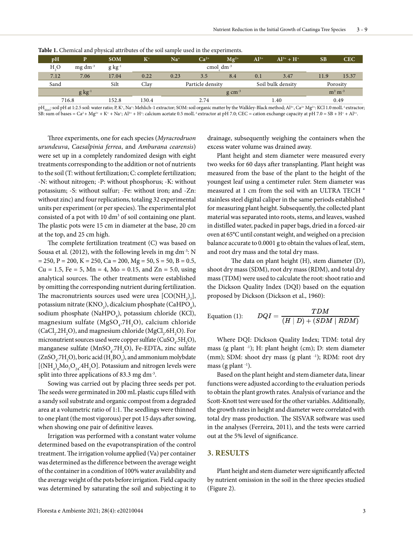| pH               | D                                          | <b>SOM</b>  | $K^+$          | Na <sup>+</sup>  | $Ca2+$ | $Mg^{2+}$         | $Al^{3+}$ | $Al^{3+} + H^{+}$ | <b>SB</b> | <b>CEC</b> |
|------------------|--------------------------------------------|-------------|----------------|------------------|--------|-------------------|-----------|-------------------|-----------|------------|
| H <sub>2</sub> O | $mg \, dm^{-3}$                            | $g kg^{-1}$ | cmol $dm^{-3}$ |                  |        |                   |           |                   |           |            |
| 7.12             | 7.06                                       | 17.04       | 0.22           | 0.23             | 3.5    | 8.4               | 0.1       | 3.47              | 11.9      | 15.37      |
| Sand             |                                            | Silt        | Clav           | Particle density |        | Soil bulk density |           | Porosity          |           |            |
|                  | $g \text{ kg}^{-1}$<br>$g \text{ cm}^{-3}$ |             |                |                  |        |                   | $m3 m-3$  |                   |           |            |
| 716.8            |                                            | 152.8       | 130.4          | 2.74             |        | 1.40              |           | 0.49              |           |            |

**Table 1.** Chemical and physical attributes of the soil sample used in the experiments.

pH<sub>u2O</sub>: soil pH at 1:2.5 soil: water ratio; P, K<sup>+</sup>, Na<sup>+</sup>: Mehlich-1 extractor; SOM: soil organic matter by the Walkley-Black method; Al<sup>3+</sup>, Ca<sup>2+</sup> Mg<sup>2+</sup>: KCl 1.0 molL<sup>-1</sup> extractor; SB: sum of bases = Ca<sup>2</sup> + Mg<sup>2+</sup> + K<sup>+</sup> + Na<sup>+</sup>; Al<sup>3+</sup> + H<sup>+</sup>: calcium acetate 0.5 molL<sup>-1</sup> extractor at pH 7.0; CEC = cation exchange capacity at pH 7.0 = SB + H<sup>+</sup> + Al<sup>3+</sup>.

Three experiments, one for each species (*Myracrodruon urundeuva*, *Caesalpinia ferrea*, and *Amburana cearensis*) were set up in a completely randomized design with eight treatments corresponding to the addition or not of nutrients to the soil (T: without fertilization; C: complete fertilization; -N: without nitrogen; -P: without phosphorus; -K: without potassium; -S: without sulfur; -Fe: without iron; and -Zn: without zinc) and four replications, totaling 32 experimental units per experiment (or per species). The experimental plot consisted of a pot with  $10 \text{ dm}^3$  of soil containing one plant. The plastic pots were 15 cm in diameter at the base, 20 cm at the top, and 25 cm high.

The complete fertilization treatment (C) was based on Sousa et al. (2012), with the following levels in mg dm<sup>-3</sup>: N  $= 250$ ,  $P = 200$ ,  $K = 250$ ,  $Ca = 200$ ,  $Mg = 50$ ,  $S = 50$ ,  $B = 0.5$ ,  $Cu = 1.5$ , Fe = 5, Mn = 4, Mo = 0.15, and Zn = 5.0, using analytical sources. The other treatments were established by omitting the corresponding nutrient during fertilization. The macronutrients sources used were urea  $[CO(NH_2)_2]$ , potassium nitrate (KNO<sub>3</sub>), dicalcium phosphate (CaHPO<sub>4</sub>), sodium phosphate (NaHPO<sub>4</sub>), potassium chloride (KCl), magnesium sulfate (MgSO<sub>4</sub>.7H<sub>2</sub>O), calcium chloride (CaCl<sub>2</sub>.2H<sub>2</sub>O), and magnesium chloride (MgCl<sub>2</sub>.6H<sub>2</sub>O). For micronutrient sources used were copper sulfate ( $CuSO_{4}$ .5H<sub>2</sub>O), manganese sulfate ( $MnSO_4$ .7 $H_2O$ ), Fe-EDTA, zinc sulfate  $(ZnSO_4$ .7H<sub>2</sub>O), boric acid (H<sub>3</sub>BO<sub>3</sub>), and ammonium molybdate [(NH<sub>4</sub>)<sub>6</sub>Mo<sub>7</sub>O<sub>24</sub>.4H<sub>2</sub>O]. Potassium and nitrogen levels were split into three applications of 83.3 mg dm<sup>-3</sup>.

Sowing was carried out by placing three seeds per pot. The seeds were germinated in 200 mL plastic cups filled with a sandy soil substrate and organic compost from a degraded area at a volumetric ratio of 1:1. The seedlings were thinned to one plant (the most vigorous) per pot 15 days after sowing, when showing one pair of definitive leaves.

Irrigation was performed with a constant water volume determined based on the evapotranspiration of the control treatment. The irrigation volume applied (Va) per container was determined as the difference between the average weight of the container in a condition of 100% water availability and the average weight of the pots before irrigation. Field capacity was determined by saturating the soil and subjecting it to

drainage, subsequently weighing the containers when the excess water volume was drained away.

Plant height and stem diameter were measured every two weeks for 60 days after transplanting. Plant height was measured from the base of the plant to the height of the youngest leaf using a centimeter ruler. Stem diameter was measured at 1 cm from the soil with an ULTRA TECH ® stainless steel digital caliper in the same periods established for measuring plant height. Subsequently, the collected plant material was separated into roots, stems, and leaves, washed in distilled water, packed in paper bags, dried in a forced-air oven at 65°C until constant weight, and weighed on a precision balance accurate to 0.0001 g to obtain the values of leaf, stem, and root dry mass and the total dry mass.

The data on plant height (H), stem diameter (D), shoot dry mass (SDM), root dry mass (RDM), and total dry mass (TDM) were used to calculate the root: shoot ratio and the Dickson Quality Index (DQI) based on the equation proposed by Dickson (Dickson et al., 1960):

Equation (1): 
$$
DQI = \frac{TDM}{(H \mid D) + (SDM \mid RDM)}
$$

Where DQI: Dickson Quality Index; TDM: total dry mass (g plant -1); H: plant height (cm); D: stem diameter (mm); SDM: shoot dry mass (g plant <sup>-1</sup>); RDM: root dry mass (g plant  $^{-1}$ ).

Based on the plant height and stem diameter data, linear functions were adjusted according to the evaluation periods to obtain the plant growth rates. Analysis of variance and the Scott-Knott test were used for the other variables. Additionally, the growth rates in height and diameter were correlated with total dry mass production. The SISVAR software was used in the analyses (Ferreira, 2011), and the tests were carried out at the 5% level of significance.

#### **3. RESULTS**

Plant height and stem diameter were significantly affected by nutrient omission in the soil in the three species studied (Figure 2).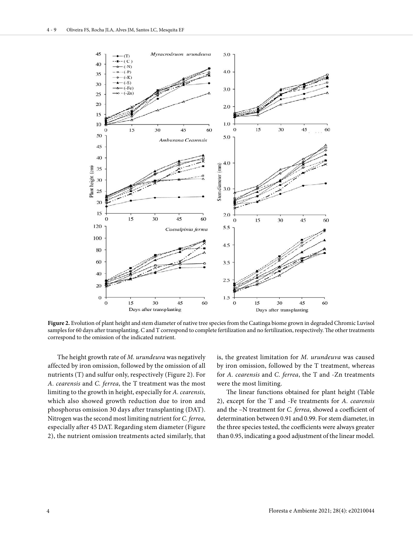

**Figure 2.** Evolution of plant height and stem diameter of native tree species from the Caatinga biome grown in degraded Chromic Luvisol samples for 60 days after transplanting. C and T correspond to complete fertilization and no fertilization, respectively. The other treatments correspond to the omission of the indicated nutrient.

The height growth rate of *M. urundeuva* was negatively affected by iron omission, followed by the omission of all nutrients (T) and sulfur only, respectively (Figure 2). For *A. cearensis* and *C. ferrea*, the T treatment was the most limiting to the growth in height, especially for *A. cearensis,* which also showed growth reduction due to iron and phosphorus omission 30 days after transplanting (DAT). Nitrogen was the second most limiting nutrient for *C. ferrea*, especially after 45 DAT. Regarding stem diameter (Figure 2), the nutrient omission treatments acted similarly, that

is, the greatest limitation for *M. urundeuva* was caused by iron omission, followed by the T treatment, whereas for *A. cearensis* and *C. ferrea*, the T and -Zn treatments were the most limiting.

The linear functions obtained for plant height (Table 2), except for the T and -Fe treatments for *A. cearensis* and the –N treatment for *C. ferrea*, showed a coefficient of determination between 0.91 and 0.99. For stem diameter, in the three species tested, the coefficients were always greater than 0.95, indicating a good adjustment of the linear model.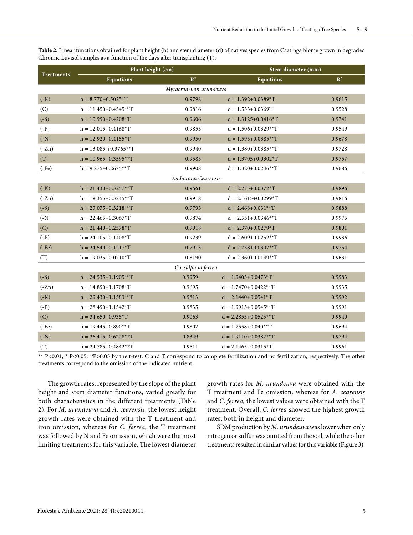**Table 2.** Linear functions obtained for plant height (h) and stem diameter (d) of natives species from Caatinga biome grown in degraded Chromic Luvisol samples as a function of the days after transplanting (T).

|                                |                | Stem diameter (mm)             |                |  |  |  |  |  |  |  |
|--------------------------------|----------------|--------------------------------|----------------|--|--|--|--|--|--|--|
| <b>Equations</b>               | $\mathbb{R}^2$ | <b>Equations</b>               | $\mathbb{R}^2$ |  |  |  |  |  |  |  |
| Myracrodruon urundeuva         |                |                                |                |  |  |  |  |  |  |  |
| $h = 8.770 + 0.5025 \times T$  | 0.9798         | $d = 1.392 + 0.0389 * T$       | 0.9615         |  |  |  |  |  |  |  |
| $h = 11.450 + 0.4545**T$       | 0.9816         | $d = 1.533 + 0.0369T$          | 0.9528         |  |  |  |  |  |  |  |
| $h = 10.990 + 0.4208 * T$      | 0.9606         | $d = 1.3125 + 0.0416 \times T$ | 0.9741         |  |  |  |  |  |  |  |
| $h = 12.015 + 0.4168 * T$      | 0.9855         | $d = 1.506 + 0.0329**T$        | 0.9549         |  |  |  |  |  |  |  |
| $h = 12.920 + 0.4155 \times T$ | 0.9950         | $d = 1.595 + 0.0385**T$        | 0.9678         |  |  |  |  |  |  |  |
| $h = 13.085 + 0.3765**T$       | 0.9940         | $d = 1.380 + 0.0385**T$        | 0.9728         |  |  |  |  |  |  |  |
| $h = 10.965 + 0.3595**T$       | 0.9585         | $d = 1.3705 + 0.0302 \times T$ | 0.9757         |  |  |  |  |  |  |  |
| $h = 9.275 + 0.2675**T$        | 0.9908         | $d = 1.320 + 0.0246**T$        | 0.9686         |  |  |  |  |  |  |  |
| Amburana Cearensis             |                |                                |                |  |  |  |  |  |  |  |
| $h = 21.430 + 0.3257**T$       | 0.9661         | $d = 2.275 + 0.0372 \times T$  | 0.9896         |  |  |  |  |  |  |  |
| $h = 19.355 + 0.3245**T$       | 0.9918         | $d = 2.1615 + 0.0299 * T$      | 0.9816         |  |  |  |  |  |  |  |
| $h = 23.075 + 0.3218**T$       | 0.9793         | $d = 2.468 + 0.031**T$         | 0.9888         |  |  |  |  |  |  |  |
| $h = 22.465 + 0.3067 * T$      | 0.9874         | $d = 2.551 + 0.0346**T$        | 0.9975         |  |  |  |  |  |  |  |
| $h = 21.440 + 0.2578 * T$      | 0.9918         | $d = 2.370 + 0.0279 \times T$  | 0.9891         |  |  |  |  |  |  |  |
| $h = 24.105 + 0.1408 * T$      | 0.9239         | $d = 2.609 + 0.0252**T$        | 0.9936         |  |  |  |  |  |  |  |
| $h = 24.540 + 0.1217 * T$      | 0.7913         | $d = 2.758 + 0.0307**T$        | 0.9754         |  |  |  |  |  |  |  |
| $h = 19.035 + 0.0710 \times T$ | 0.8190         | $d = 2.360 + 0.0149**T$        | 0.9631         |  |  |  |  |  |  |  |
| Caesalpinia ferrea             |                |                                |                |  |  |  |  |  |  |  |
| $h = 24.535 + 1.1905**T$       | 0.9959         | $d = 1.9405 + 0.0473 * T$      | 0.9983         |  |  |  |  |  |  |  |
| $h = 14.890 + 1.1708 * T$      | 0.9695         | $d = 1.7470 + 0.0422**T$       | 0.9935         |  |  |  |  |  |  |  |
| $h = 29.430 + 1.1583**T$       | 0.9813         | $d = 2.1440+0.0541*T$          | 0.9992         |  |  |  |  |  |  |  |
| $h = 28.490 + 1.1542 \times T$ | 0.9835         | $d = 1.9915 + 0.0545**T$       | 0.9991         |  |  |  |  |  |  |  |
| $h = 34.650 + 0.935 \times T$  | 0.9063         | $d = 2.2855 + 0.0525**T$       | 0.9940         |  |  |  |  |  |  |  |
| $h = 19.445 + 0.890**T$        | 0.9802         | $d = 1.7558 + 0.040**T$        | 0.9694         |  |  |  |  |  |  |  |
| $h = 26.415 + 0.6228**T$       | 0.8349         | $d = 1.9110 + 0.0382**T$       | 0.9794         |  |  |  |  |  |  |  |
| $h = 24.785 + 0.4842**T$       | 0.9511         | $d = 2.1465 + 0.0315 \times T$ | 0.9961         |  |  |  |  |  |  |  |
|                                |                | Plant height (cm)              |                |  |  |  |  |  |  |  |

\*\* P<0.01; \* P<0.05; nsP>0.05 by the t-test. C and T correspond to complete fertilization and no fertilization, respectively. The other treatments correspond to the omission of the indicated nutrient.

The growth rates, represented by the slope of the plant height and stem diameter functions, varied greatly for both characteristics in the different treatments (Table 2). For *M. urundeuva* and *A. cearensis*, the lowest height growth rates were obtained with the T treatment and iron omission, whereas for *C. ferrea*, the T treatment was followed by N and Fe omission, which were the most limiting treatments for this variable. The lowest diameter growth rates for *M. urundeuva* were obtained with the T treatment and Fe omission, whereas for *A. cearensis* and *C. ferrea*, the lowest values were obtained with the T treatment. Overall, *C. ferrea* showed the highest growth rates, both in height and diameter.

SDM production by *M. urundeuva* was lower when only nitrogen or sulfur was omitted from the soil, while the other treatments resulted in similar values for this variable (Figure 3).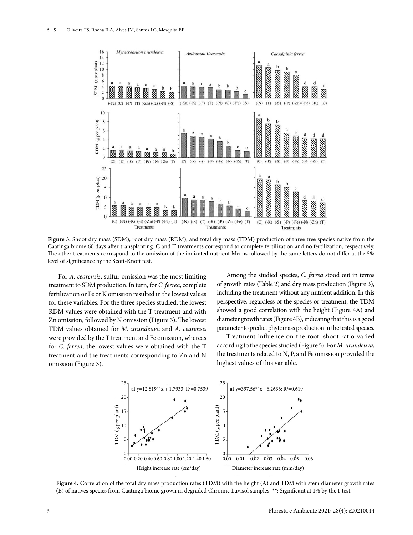

**Figure 3.** Shoot dry mass (SDM), root dry mass (RDM), and total dry mass (TDM) production of three tree species native from the Caatinga biome 60 days after transplanting. C and T treatments correspond to complete fertilization and no fertilization, respectively. The other treatments correspond to the omission of the indicated nutrient Means followed by the same letters do not differ at the 5% level of significance by the Scott-Knott test.

For *A. cearensis*, sulfur omission was the most limiting treatment to SDM production. In turn, for *C. ferrea*, complete fertilization or Fe or K omission resulted in the lowest values for these variables. For the three species studied, the lowest RDM values were obtained with the T treatment and with Zn omission, followed by N omission (Figure 3). The lowest TDM values obtained for *M. urundeuva* and *A. cearensis*  were provided by the T treatment and Fe omission, whereas for *C. ferrea*, the lowest values were obtained with the T treatment and the treatments corresponding to Zn and N omission (Figure 3).

Among the studied species, *C. ferrea* stood out in terms of growth rates (Table 2) and dry mass production (Figure 3), including the treatment without any nutrient addition. In this perspective, regardless of the species or treatment, the TDM showed a good correlation with the height (Figure 4A) and diameter growth rates (Figure 4B), indicating that this is a good parameter to predict phytomass production in the tested species.

Treatment influence on the root: shoot ratio varied according to the species studied (Figure 5). For *M. urundeuva*, the treatments related to N, P, and Fe omission provided the highest values of this variable.



**Figure 4.** Correlation of the total dry mass production rates (TDM) with the height (A) and TDM with stem diameter growth rates (B) of natives species from Caatinga biome grown in degraded Chromic Luvisol samples. \*\*: Significant at 1% by the t-test.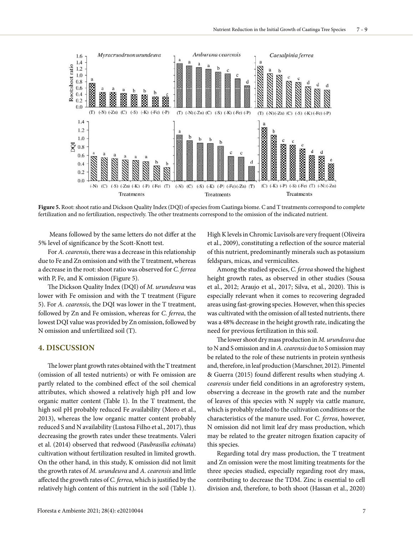

**Figure 5.** Root: shoot ratio and Dickson Quality Index (DQI) of species from Caatinga biome. C and T treatments correspond to complete fertilization and no fertilization, respectively. The other treatments correspond to the omission of the indicated nutrient.

 Means followed by the same letters do not differ at the 5% level of significance by the Scott-Knott test.

For *A. cearensis*, there was a decrease in this relationship due to Fe and Zn omission and with the T treatment, whereas a decrease in the root: shoot ratio was observed for *C. ferrea* with P, Fe, and K omission (Figure 5).

The Dickson Quality Index (DQI) of *M. urundeuva* was lower with Fe omission and with the T treatment (Figure 5). For *A. cearensis*, the DQI was lower in the T treatment, followed by Zn and Fe omission, whereas for *C. ferrea*, the lowest DQI value was provided by Zn omission, followed by N omission and unfertilized soil (T).

#### **4. DISCUSSION**

The lower plant growth rates obtained with the T treatment (omission of all tested nutrients) or with Fe omission are partly related to the combined effect of the soil chemical attributes, which showed a relatively high pH and low organic matter content (Table 1). In the T treatment, the high soil pH probably reduced Fe availability (Moro et al., 2013), whereas the low organic matter content probably reduced S and N availability (Lustosa Filho et al., 2017), thus decreasing the growth rates under these treatments. Valeri et al. (2014) observed that redwood (*Paubrasilia echinata*) cultivation without fertilization resulted in limited growth. On the other hand, in this study, K omission did not limit the growth rates of *M. urundeuva* and *A. cearensis* and little affected the growth rates of *C. ferrea*, which is justified by the relatively high content of this nutrient in the soil (Table 1).

High K levels in Chromic Luvisols are very frequent (Oliveira et al., 2009), constituting a reflection of the source material of this nutrient, predominantly minerals such as potassium feldspars, micas, and vermiculites.

Among the studied species, *C. ferrea* showed the highest height growth rates, as observed in other studies (Sousa et al., 2012; Araujo et al., 2017; Silva, et al., 2020). This is especially relevant when it comes to recovering degraded areas using fast-growing species. However, when this species was cultivated with the omission of all tested nutrients, there was a 48% decrease in the height growth rate, indicating the need for previous fertilization in this soil.

The lower shoot dry mass production in *M. urundeuva* due to N and S omission and in *A. cearensis* due to S omission may be related to the role of these nutrients in protein synthesis and, therefore, in leaf production (Marschner, 2012). Pimentel & Guerra (2015) found different results when studying *A. cearensis* under field conditions in an agroforestry system, observing a decrease in the growth rate and the number of leaves of this species with N supply via cattle manure, which is probably related to the cultivation conditions or the characteristics of the manure used. For *C. ferrea*, however, N omission did not limit leaf dry mass production, which may be related to the greater nitrogen fixation capacity of this species.

Regarding total dry mass production, the T treatment and Zn omission were the most limiting treatments for the three species studied, especially regarding root dry mass, contributing to decrease the TDM. Zinc is essential to cell division and, therefore, to both shoot (Hassan et al., 2020)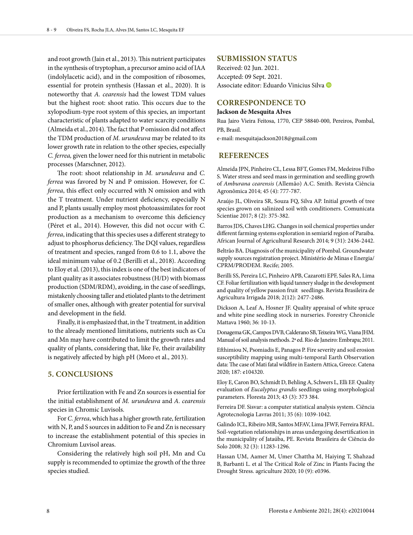and root growth (Jain et al., 2013). This nutrient participates in the synthesis of tryptophan, a precursor amino acid of IAA (indolylacetic acid), and in the composition of ribosomes, essential for protein synthesis (Hassan et al., 2020). It is noteworthy that *A. cearensis* had the lowest TDM values but the highest root: shoot ratio. This occurs due to the xylopodium-type root system of this species, an important characteristic of plants adapted to water scarcity conditions (Almeida et al., 2014). The fact that P omission did not affect the TDM production of *M. urundeuva* may be related to its lower growth rate in relation to the other species, especially *C. ferrea,* given the lower need for this nutrient in metabolic processes (Marschner, 2012).

The root: shoot relationship in *M. urundeuva* and *C. ferrea* was favored by N and P omission. However, for *C. ferrea*, this effect only occurred with N omission and with the T treatment. Under nutrient deficiency, especially N and P, plants usually employ most photoassimilates for root production as a mechanism to overcome this deficiency (Péret et al., 2014). However, this did not occur with *C. ferrea*, indicating that this species uses a different strategy to adjust to phosphorus deficiency. The DQI values, regardless of treatment and species, ranged from 0.6 to 1.1, above the ideal minimum value of 0.2 (Berilli et al., 2018). According to Eloy et al. (2013), this index is one of the best indicators of plant quality as it associates robustness (H/D) with biomass production (SDM/RDM), avoiding, in the case of seedlings, mistakenly choosing taller and etiolated plants to the detriment of smaller ones, although with greater potential for survival and development in the field.

Finally, it is emphasized that, in the T treatment, in addition to the already mentioned limitations, nutrients such as Cu and Mn may have contributed to limit the growth rates and quality of plants, considering that, like Fe, their availability is negatively affected by high pH (Moro et al., 2013).

# **5. CONCLUSIONS**

Prior fertilization with Fe and Zn sources is essential for the initial establishment of *M. urundeuva* and *A. cearensis* species in Chromic Luvisols.

For *C. ferrea*, which has a higher growth rate, fertilization with N, P, and S sources in addition to Fe and Zn is necessary to increase the establishment potential of this species in Chromium Luvisol areas.

Considering the relatively high soil pH, Mn and Cu supply is recommended to optimize the growth of the three species studied.

#### **SUBMISSION STATUS**

Received: 02 Jun. 2021. Accepted: 09 Sept. 2021. Associate editor: Eduardo Vinicius Silva

#### **CORRESPONDENCE TO**

#### **Jackson de Mesquita Alves**

Rua Jairo Vieira Feitosa, 1770, CEP 58840-000, Pereiros, Pombal, PB, Brasil.

e-mail: mesquitajackson2018@gmail.com

#### **REFERENCES**

Almeida JPN, Pinheiro CL, Lessa BFT, Gomes FM, Medeiros Filho S. Water stress and seed mass in germination and seedling growth of *Amburana cearensis* (Allemão) A.C. Smith. Revista Ciência Agronômica 2014; 45 (4): 777-787.

Araújo JL, Oliveira SR, Souza FQ, Silva AP. Initial growth of tree species grown on salinized soil with conditioners. Comunicata Scientiae 2017; 8 (2): 375-382.

Barros JDS, Chaves LHG. Changes in soil chemical properties under different farming systems exploration in semiarid region of Paraiba. African Journal of Agricultural Research 2014; 9 (31): 2436-2442.

Beltrão BA. Diagnosis of the municipality of Pombal. Groundwater supply sources registration project. Ministério de Minas e Energia/ CPRM/PRODEM. Recife; 2005.

Berilli SS, Pereira LC, Pinheiro APB, Cazarotti EPF, Sales RA, Lima CF. Foliar fertilization with liquid tannery sludge in the development and quality of yellow passion fruit seedlings. Revista Brasileira de Agricultura Irrigada 2018; 2(12): 2477-2486.

Dickson A, Leaf A, Hosner JF. Quality appraisal of white spruce and white pine seedling stock in nurseries. Forestry Chronicle Mattava 1960; 36: 10-13.

Donagema GK, Campos DVB, Calderano SB, Teixeira WG, Viana JHM. Manual of soil analysis methods. 2ª ed. Rio de Janeiro: Embrapa; 2011.

Efthimiou N, Psomiadis E, Panagos P. Fire severity and soil erosion susceptibility mapping using multi-temporal Earth Observation data: The case of Mati fatal wildfire in Eastern Attica, Greece. Catena 2020; 187: e104320.

Eloy E, Caron BO, Schmidt D, Behling A, Schwers L, Elli EF. Quality evaluation of *Eucalyptus grandis* seedlings using morphological parameters. Floresta 2013; 43 (3): 373 384.

Ferreira DF. Sisvar: a computer statistical analysis system. Ciência Agrotecnologia Lavras 2011; 35 (6): 1039-1042.

Galindo ICL, Ribeiro MR, Santos MFAV, Lima JFWF, Ferreira RFAL. Soil-vegetation relationships in areas undergoing desertification in the municipality of Jataúba, PE. Revista Brasileira de Ciência do Solo 2008; 32 (3): 11283-1296.

Hassan UM, Aamer M, Umer Chattha M, Haiying T, Shahzad B, Barbanti L. et al The Critical Role of Zinc in Plants Facing the Drought Stress. agriculture 2020; 10 (9): e0396.